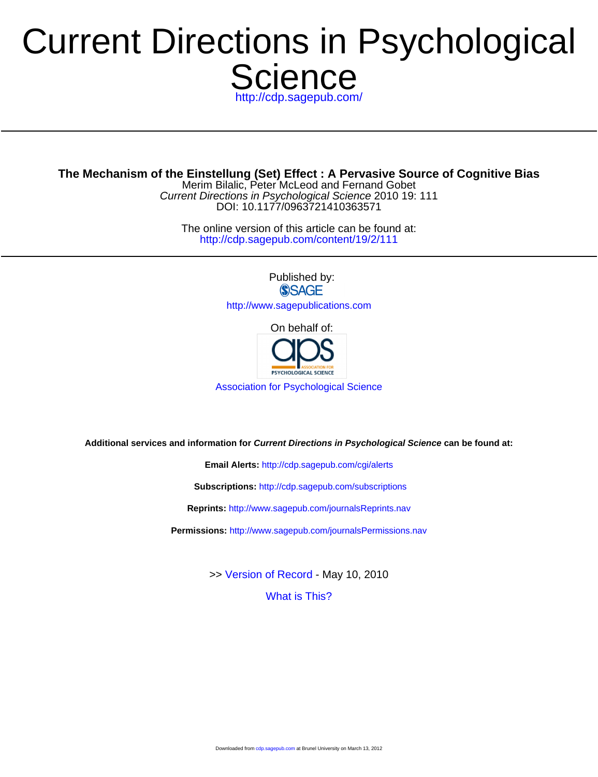# **Science** p://cdp.sagepub.com/ Current Directions in Psychological

**The Mechanism of the Einstellung (Set) Effect : A Pervasive Source of Cognitive Bias**

DOI: 10.1177/0963721410363571 Current Directions in Psychological Science 2010 19: 111 Merim Bilalic, Peter McLeod and Fernand Gobet

<http://cdp.sagepub.com/content/19/2/111> The online version of this article can be found at:

> Published by: **SSAGE** <http://www.sagepublications.com>

> > On behalf of:



[Association for Psychological Science](http://www.psychologicalscience.org/)

**Additional services and information for Current Directions in Psychological Science can be found at:**

**Email Alerts:** <http://cdp.sagepub.com/cgi/alerts>

**Subscriptions:** <http://cdp.sagepub.com/subscriptions>

**Reprints:** <http://www.sagepub.com/journalsReprints.nav>

**Permissions:** <http://www.sagepub.com/journalsPermissions.nav>

>> [Version of Record -](http://cdp.sagepub.com/content/19/2/111.full.pdf) May 10, 2010

[What is This?](http://online.sagepub.com/site/sphelp/vorhelp.xhtml)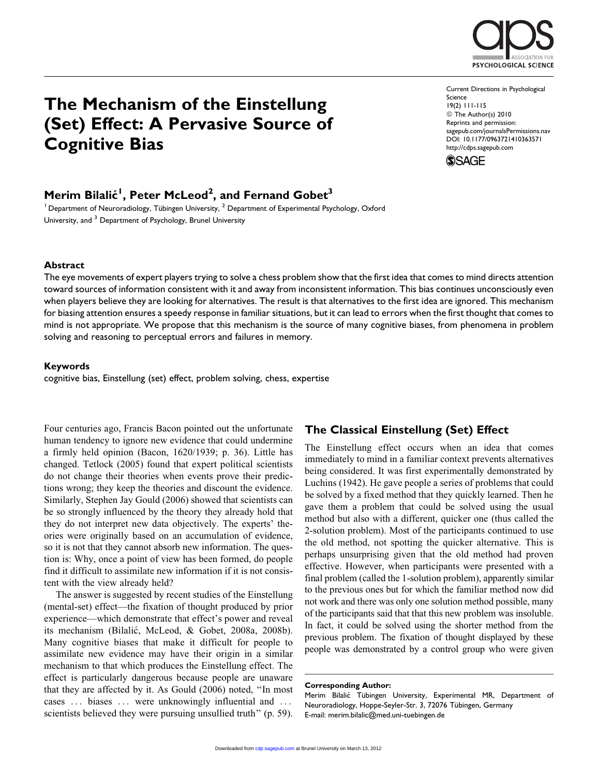

# The Mechanism of the Einstellung (Set) Effect: A Pervasive Source of Cognitive Bias

Current Directions in Psychological Science 19(2) 111-115 © The Author(s) 2010 Reprints and permission: sagepub.com/journalsPermissions.nav DOI: 10.1177/0963721410363571 http://cdps.sagepub.com



# Merim Bilalić<sup>I</sup>, Peter McLeod<sup>2</sup>, and Fernand Gobet<sup>3</sup>

<sup>1</sup> Department of Neuroradiology, Tübingen University,  $^2$  Department of Experimental Psychology, Oxford University, and <sup>3</sup> Department of Psychology, Brunel University

### Abstract

The eye movements of expert players trying to solve a chess problem show that the first idea that comes to mind directs attention toward sources of information consistent with it and away from inconsistent information. This bias continues unconsciously even when players believe they are looking for alternatives. The result is that alternatives to the first idea are ignored. This mechanism for biasing attention ensures a speedy response in familiar situations, but it can lead to errors when the first thought that comes to mind is not appropriate. We propose that this mechanism is the source of many cognitive biases, from phenomena in problem solving and reasoning to perceptual errors and failures in memory.

### Keywords

cognitive bias, Einstellung (set) effect, problem solving, chess, expertise

Four centuries ago, Francis Bacon pointed out the unfortunate human tendency to ignore new evidence that could undermine a firmly held opinion (Bacon, 1620/1939; p. 36). Little has changed. Tetlock (2005) found that expert political scientists do not change their theories when events prove their predictions wrong; they keep the theories and discount the evidence. Similarly, Stephen Jay Gould (2006) showed that scientists can be so strongly influenced by the theory they already hold that they do not interpret new data objectively. The experts' theories were originally based on an accumulation of evidence, so it is not that they cannot absorb new information. The question is: Why, once a point of view has been formed, do people find it difficult to assimilate new information if it is not consistent with the view already held?

The answer is suggested by recent studies of the Einstellung (mental-set) effect—the fixation of thought produced by prior experience—which demonstrate that effect's power and reveal its mechanism (Bilalić, McLeod, & Gobet, 2008a, 2008b). Many cognitive biases that make it difficult for people to assimilate new evidence may have their origin in a similar mechanism to that which produces the Einstellung effect. The effect is particularly dangerous because people are unaware that they are affected by it. As Gould (2006) noted, ''In most cases ... biases ... were unknowingly influential and ... scientists believed they were pursuing unsullied truth" (p. 59).

# The Classical Einstellung (Set) Effect

The Einstellung effect occurs when an idea that comes immediately to mind in a familiar context prevents alternatives being considered. It was first experimentally demonstrated by Luchins (1942). He gave people a series of problems that could be solved by a fixed method that they quickly learned. Then he gave them a problem that could be solved using the usual method but also with a different, quicker one (thus called the 2-solution problem). Most of the participants continued to use the old method, not spotting the quicker alternative. This is perhaps unsurprising given that the old method had proven effective. However, when participants were presented with a final problem (called the 1-solution problem), apparently similar to the previous ones but for which the familiar method now did not work and there was only one solution method possible, many of the participants said that that this new problem was insoluble. In fact, it could be solved using the shorter method from the previous problem. The fixation of thought displayed by these people was demonstrated by a control group who were given

#### Corresponding Author:

Merim Bilalić Tübingen University, Experimental MR, Department of Neuroradiology, Hoppe-Seyler-Str. 3, 72076 Tübingen, Germany E-mail: merim.bilalic@med.uni-tuebingen.de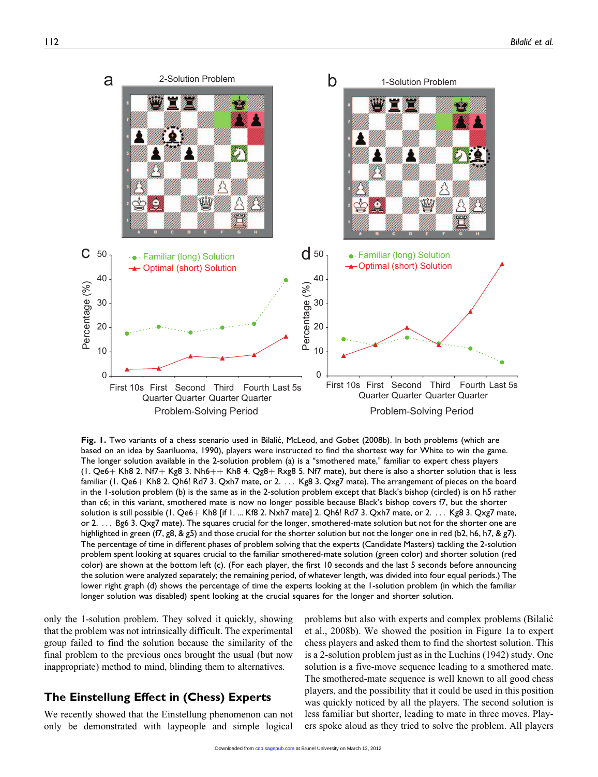

Fig. 1. Two variants of a chess scenario used in Bilalić, McLeod, and Gobet (2008b). In both problems (which are based on an idea by Saariluoma, 1990), players were instructed to find the shortest way for White to win the game. The longer solution available in the 2-solution problem (a) is a "smothered mate," familiar to expert chess players (1. Qe6+ Kh8 2. Nf7+ Kg8 3. Nh6++ Kh8 4. Qg8+ Rxg8 5. Nf7 mate), but there is also a shorter solution that is less familiar (1. Qe6+ Kh8 2. Qh6! Rd7 3. Qxh7 mate, or 2. ... Kg8 3. Qxg7 mate). The arrangement of pieces on the board in the 1-solution problem (b) is the same as in the 2-solution problem except that Black's bishop (circled) is on h5 rather than c6; in this variant, smothered mate is now no longer possible because Black's bishop covers f7, but the shorter solution is still possible  $(1. Qe6 + Kh8$  [if 1. ... Kf8 2. Nxh7 mate] 2. Qh6! Rd7 3. Qxh7 mate, or  $2. \ldots$  Kg8 3. Qxg7 mate, or 2. ... Bg6 3. Qxg7 mate). The squares crucial for the longer, smothered-mate solution but not for the shorter one are highlighted in green (f7, g8, & g5) and those crucial for the shorter solution but not the longer one in red (b2, h6, h7, & g7). The percentage of time in different phases of problem solving that the experts (Candidate Masters) tackling the 2-solution problem spent looking at squares crucial to the familiar smothered-mate solution (green color) and shorter solution (red color) are shown at the bottom left (c). (For each player, the first 10 seconds and the last 5 seconds before announcing the solution were analyzed separately; the remaining period, of whatever length, was divided into four equal periods.) The lower right graph (d) shows the percentage of time the experts looking at the 1-solution problem (in which the familiar longer solution was disabled) spent looking at the crucial squares for the longer and shorter solution.

only the 1-solution problem. They solved it quickly, showing that the problem was not intrinsically difficult. The experimental group failed to find the solution because the similarity of the final problem to the previous ones brought the usual (but now inappropriate) method to mind, blinding them to alternatives.

# The Einstellung Effect in (Chess) Experts

We recently showed that the Einstellung phenomenon can not only be demonstrated with laypeople and simple logical

problems but also with experts and complex problems (Bilalic´ et al., 2008b). We showed the position in Figure 1a to expert chess players and asked them to find the shortest solution. This is a 2-solution problem just as in the Luchins (1942) study. One solution is a five-move sequence leading to a smothered mate. The smothered-mate sequence is well known to all good chess players, and the possibility that it could be used in this position was quickly noticed by all the players. The second solution is less familiar but shorter, leading to mate in three moves. Players spoke aloud as they tried to solve the problem. All players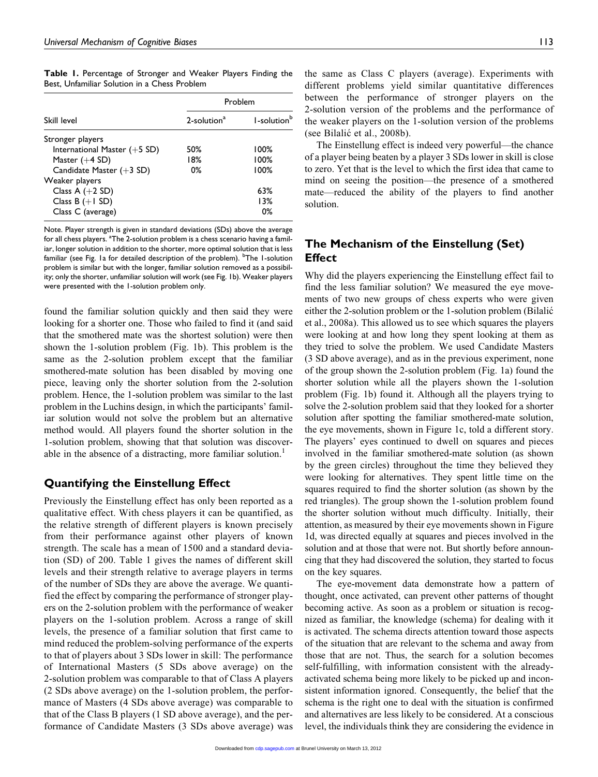Table 1. Percentage of Stronger and Weaker Players Finding the Best, Unfamiliar Solution in a Chess Problem

| Skill level                    | Problem                 |                         |
|--------------------------------|-------------------------|-------------------------|
|                                | 2-solution <sup>a</sup> | 1-solution <sup>b</sup> |
| Stronger players               |                         |                         |
| International Master $(+5$ SD) | 50%                     | $100\%$                 |
| Master $(+4$ SD)               | 18%                     | 100%                    |
| Candidate Master $(+3$ SD)     | 0%                      | 100%                    |
| Weaker players                 |                         |                         |
| Class A $(+2$ SD)              |                         | 63%                     |
| Class $B (+1 SD)$              |                         | 13%                     |
| Class C (average)              |                         | 0%                      |

Note. Player strength is given in standard deviations (SDs) above the average for all chess players. <sup>a</sup>The 2-solution problem is a chess scenario having a familiar, longer solution in addition to the shorter, more optimal solution that is less familiar (see Fig. Ia for detailed description of the problem). <sup>b</sup>The I-solution problem is similar but with the longer, familiar solution removed as a possibility; only the shorter, unfamiliar solution will work (see Fig. 1b). Weaker players were presented with the 1-solution problem only.

found the familiar solution quickly and then said they were looking for a shorter one. Those who failed to find it (and said that the smothered mate was the shortest solution) were then shown the 1-solution problem (Fig. 1b). This problem is the same as the 2-solution problem except that the familiar smothered-mate solution has been disabled by moving one piece, leaving only the shorter solution from the 2-solution problem. Hence, the 1-solution problem was similar to the last problem in the Luchins design, in which the participants' familiar solution would not solve the problem but an alternative method would. All players found the shorter solution in the 1-solution problem, showing that that solution was discoverable in the absence of a distracting, more familiar solution.<sup>1</sup>

# Quantifying the Einstellung Effect

Previously the Einstellung effect has only been reported as a qualitative effect. With chess players it can be quantified, as the relative strength of different players is known precisely from their performance against other players of known strength. The scale has a mean of 1500 and a standard deviation (SD) of 200. Table 1 gives the names of different skill levels and their strength relative to average players in terms of the number of SDs they are above the average. We quantified the effect by comparing the performance of stronger players on the 2-solution problem with the performance of weaker players on the 1-solution problem. Across a range of skill levels, the presence of a familiar solution that first came to mind reduced the problem-solving performance of the experts to that of players about 3 SDs lower in skill: The performance of International Masters (5 SDs above average) on the 2-solution problem was comparable to that of Class A players (2 SDs above average) on the 1-solution problem, the performance of Masters (4 SDs above average) was comparable to that of the Class B players (1 SD above average), and the performance of Candidate Masters (3 SDs above average) was

the same as Class C players (average). Experiments with different problems yield similar quantitative differences between the performance of stronger players on the 2-solution version of the problems and the performance of the weaker players on the 1-solution version of the problems (see Bilalic´ et al., 2008b).

The Einstellung effect is indeed very powerful—the chance of a player being beaten by a player 3 SDs lower in skill is close to zero. Yet that is the level to which the first idea that came to mind on seeing the position—the presence of a smothered mate—reduced the ability of the players to find another solution.

# The Mechanism of the Einstellung (Set) **Effect**

Why did the players experiencing the Einstellung effect fail to find the less familiar solution? We measured the eye movements of two new groups of chess experts who were given either the 2-solution problem or the 1-solution problem (Bilalic´ et al., 2008a). This allowed us to see which squares the players were looking at and how long they spent looking at them as they tried to solve the problem. We used Candidate Masters (3 SD above average), and as in the previous experiment, none of the group shown the 2-solution problem (Fig. 1a) found the shorter solution while all the players shown the 1-solution problem (Fig. 1b) found it. Although all the players trying to solve the 2-solution problem said that they looked for a shorter solution after spotting the familiar smothered-mate solution, the eye movements, shown in Figure 1c, told a different story. The players' eyes continued to dwell on squares and pieces involved in the familiar smothered-mate solution (as shown by the green circles) throughout the time they believed they were looking for alternatives. They spent little time on the squares required to find the shorter solution (as shown by the red triangles). The group shown the 1-solution problem found the shorter solution without much difficulty. Initially, their attention, as measured by their eye movements shown in Figure 1d, was directed equally at squares and pieces involved in the solution and at those that were not. But shortly before announcing that they had discovered the solution, they started to focus on the key squares.

The eye-movement data demonstrate how a pattern of thought, once activated, can prevent other patterns of thought becoming active. As soon as a problem or situation is recognized as familiar, the knowledge (schema) for dealing with it is activated. The schema directs attention toward those aspects of the situation that are relevant to the schema and away from those that are not. Thus, the search for a solution becomes self-fulfilling, with information consistent with the alreadyactivated schema being more likely to be picked up and inconsistent information ignored. Consequently, the belief that the schema is the right one to deal with the situation is confirmed and alternatives are less likely to be considered. At a conscious level, the individuals think they are considering the evidence in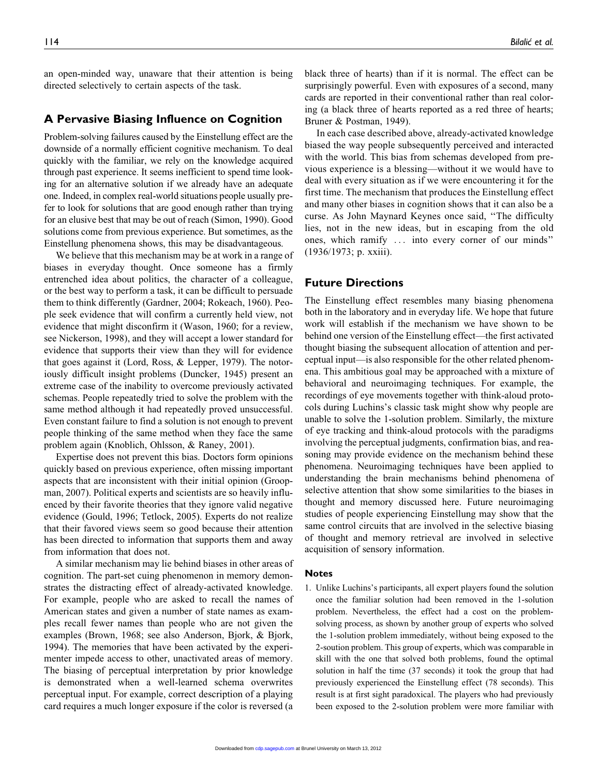an open-minded way, unaware that their attention is being directed selectively to certain aspects of the task.

# A Pervasive Biasing Influence on Cognition

Problem-solving failures caused by the Einstellung effect are the downside of a normally efficient cognitive mechanism. To deal quickly with the familiar, we rely on the knowledge acquired through past experience. It seems inefficient to spend time looking for an alternative solution if we already have an adequate one. Indeed, in complex real-world situations people usually prefer to look for solutions that are good enough rather than trying for an elusive best that may be out of reach (Simon, 1990). Good solutions come from previous experience. But sometimes, as the Einstellung phenomena shows, this may be disadvantageous.

We believe that this mechanism may be at work in a range of biases in everyday thought. Once someone has a firmly entrenched idea about politics, the character of a colleague, or the best way to perform a task, it can be difficult to persuade them to think differently (Gardner, 2004; Rokeach, 1960). People seek evidence that will confirm a currently held view, not evidence that might disconfirm it (Wason, 1960; for a review, see Nickerson, 1998), and they will accept a lower standard for evidence that supports their view than they will for evidence that goes against it (Lord, Ross, & Lepper, 1979). The notoriously difficult insight problems (Duncker, 1945) present an extreme case of the inability to overcome previously activated schemas. People repeatedly tried to solve the problem with the same method although it had repeatedly proved unsuccessful. Even constant failure to find a solution is not enough to prevent people thinking of the same method when they face the same problem again (Knoblich, Ohlsson, & Raney, 2001).

Expertise does not prevent this bias. Doctors form opinions quickly based on previous experience, often missing important aspects that are inconsistent with their initial opinion (Groopman, 2007). Political experts and scientists are so heavily influenced by their favorite theories that they ignore valid negative evidence (Gould, 1996; Tetlock, 2005). Experts do not realize that their favored views seem so good because their attention has been directed to information that supports them and away from information that does not.

A similar mechanism may lie behind biases in other areas of cognition. The part-set cuing phenomenon in memory demonstrates the distracting effect of already-activated knowledge. For example, people who are asked to recall the names of American states and given a number of state names as examples recall fewer names than people who are not given the examples (Brown, 1968; see also Anderson, Bjork, & Bjork, 1994). The memories that have been activated by the experimenter impede access to other, unactivated areas of memory. The biasing of perceptual interpretation by prior knowledge is demonstrated when a well-learned schema overwrites perceptual input. For example, correct description of a playing card requires a much longer exposure if the color is reversed (a

black three of hearts) than if it is normal. The effect can be surprisingly powerful. Even with exposures of a second, many cards are reported in their conventional rather than real coloring (a black three of hearts reported as a red three of hearts; Bruner & Postman, 1949).

In each case described above, already-activated knowledge biased the way people subsequently perceived and interacted with the world. This bias from schemas developed from previous experience is a blessing—without it we would have to deal with every situation as if we were encountering it for the first time. The mechanism that produces the Einstellung effect and many other biases in cognition shows that it can also be a curse. As John Maynard Keynes once said, ''The difficulty lies, not in the new ideas, but in escaping from the old ones, which ramify ... into every corner of our minds'' (1936/1973; p. xxiii).

## Future Directions

The Einstellung effect resembles many biasing phenomena both in the laboratory and in everyday life. We hope that future work will establish if the mechanism we have shown to be behind one version of the Einstellung effect—the first activated thought biasing the subsequent allocation of attention and perceptual input—is also responsible for the other related phenomena. This ambitious goal may be approached with a mixture of behavioral and neuroimaging techniques. For example, the recordings of eye movements together with think-aloud protocols during Luchins's classic task might show why people are unable to solve the 1-solution problem. Similarly, the mixture of eye tracking and think-aloud protocols with the paradigms involving the perceptual judgments, confirmation bias, and reasoning may provide evidence on the mechanism behind these phenomena. Neuroimaging techniques have been applied to understanding the brain mechanisms behind phenomena of selective attention that show some similarities to the biases in thought and memory discussed here. Future neuroimaging studies of people experiencing Einstellung may show that the same control circuits that are involved in the selective biasing of thought and memory retrieval are involved in selective acquisition of sensory information.

#### Notes

1. Unlike Luchins's participants, all expert players found the solution once the familiar solution had been removed in the 1-solution problem. Nevertheless, the effect had a cost on the problemsolving process, as shown by another group of experts who solved the 1-solution problem immediately, without being exposed to the 2-soution problem. This group of experts, which was comparable in skill with the one that solved both problems, found the optimal solution in half the time (37 seconds) it took the group that had previously experienced the Einstellung effect (78 seconds). This result is at first sight paradoxical. The players who had previously been exposed to the 2-solution problem were more familiar with